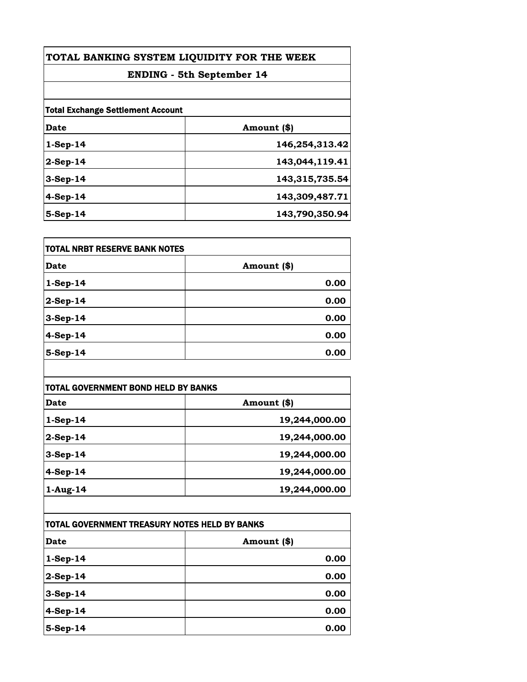| TOTAL BANKING SYSTEM LIQUIDITY FOR THE WEEK<br><b>ENDING - 5th September 14</b> |                |
|---------------------------------------------------------------------------------|----------------|
|                                                                                 |                |
| <b>Total Exchange Settlement Account</b>                                        |                |
| Date                                                                            | Amount (\$)    |
| $1-Sep-14$                                                                      | 146,254,313.42 |
| $2-Sep-14$                                                                      | 143,044,119.41 |
| $3-Sep-14$                                                                      | 143,315,735.54 |
| $4-Sep-14$                                                                      | 143,309,487.71 |
| 5-Sep-14                                                                        | 143,790,350.94 |

| <b>TOTAL NRBT RESERVE BANK NOTES</b> |             |
|--------------------------------------|-------------|
| <b>Date</b>                          | Amount (\$) |
| $1-Sep-14$                           | 0.00        |
| $2-Sep-14$                           | 0.00        |
| $3-Sep-14$                           | 0.00        |
| $4-Sep-14$                           | 0.00        |
| 5-Sep-14                             | 0.00        |

| <b>TOTAL GOVERNMENT BOND HELD BY BANKS</b> |               |
|--------------------------------------------|---------------|
| Date                                       | Amount (\$)   |
| $1-Sep-14$                                 | 19,244,000.00 |
| $2-Sep-14$                                 | 19,244,000.00 |
| $3-Sep-14$                                 | 19,244,000.00 |
| $4-Sep-14$                                 | 19,244,000.00 |
| $1-Aug-14$                                 | 19,244,000.00 |

| TOTAL GOVERNMENT TREASURY NOTES HELD BY BANKS |             |
|-----------------------------------------------|-------------|
| <b>Date</b>                                   | Amount (\$) |
| $1-Sep-14$                                    | 0.00        |
| $2-Sep-14$                                    | 0.00        |
| $3-Sep-14$                                    | 0.00        |
| $4-Sep-14$                                    | 0.00        |
| $5-Sep-14$                                    | 0.00        |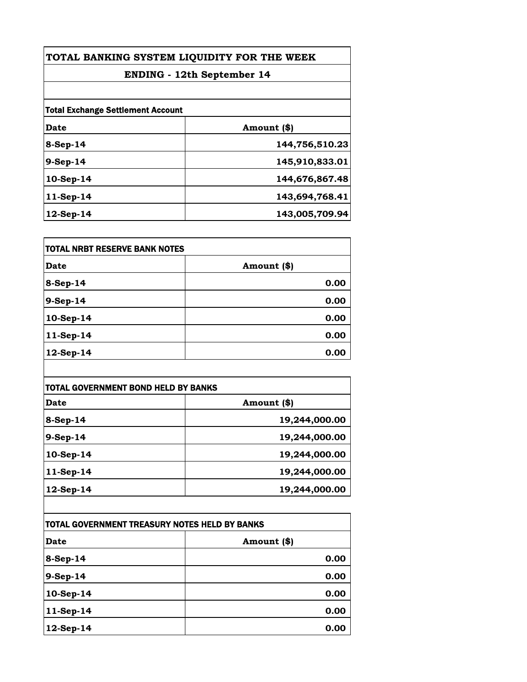| TOTAL BANKING SYSTEM LIQUIDITY FOR THE WEEK<br><b>ENDING</b> - 12th September 14 |                |
|----------------------------------------------------------------------------------|----------------|
|                                                                                  |                |
| <b>Total Exchange Settlement Account</b>                                         |                |
| Date                                                                             | Amount (\$)    |
| 8-Sep-14                                                                         | 144,756,510.23 |
| $9-Sep-14$                                                                       | 145,910,833.01 |
| 10-Sep-14                                                                        | 144,676,867.48 |
| 11-Sep-14                                                                        | 143,694,768.41 |
| 12-Sep-14                                                                        | 143,005,709.94 |

| <b>TOTAL NRBT RESERVE BANK NOTES</b> |             |
|--------------------------------------|-------------|
| Date                                 | Amount (\$) |
| $8-Sep-14$                           | 0.00        |
| 9-Sep-14                             | 0.00        |
| 10-Sep-14                            | 0.00        |
| 11-Sep-14                            | 0.00        |
| 12-Sep-14                            | 0.00        |

| TOTAL GOVERNMENT BOND HELD BY BANKS |               |
|-------------------------------------|---------------|
| Date                                | Amount (\$)   |
| $8-Sep-14$                          | 19,244,000.00 |
| $9-Sep-14$                          | 19,244,000.00 |
| $10-Sep-14$                         | 19,244,000.00 |
| $11-Sep-14$                         | 19,244,000.00 |
| $12$ -Sep-14                        | 19,244,000.00 |

| TOTAL GOVERNMENT TREASURY NOTES HELD BY BANKS |             |
|-----------------------------------------------|-------------|
| <b>Date</b>                                   | Amount (\$) |
| $8-Sep-14$                                    | 0.00        |
| $9-Sep-14$                                    | 0.00        |
| 10-Sep-14                                     | 0.00        |
| $11-Sep-14$                                   | 0.00        |
| 12-Sep-14                                     | 0.00        |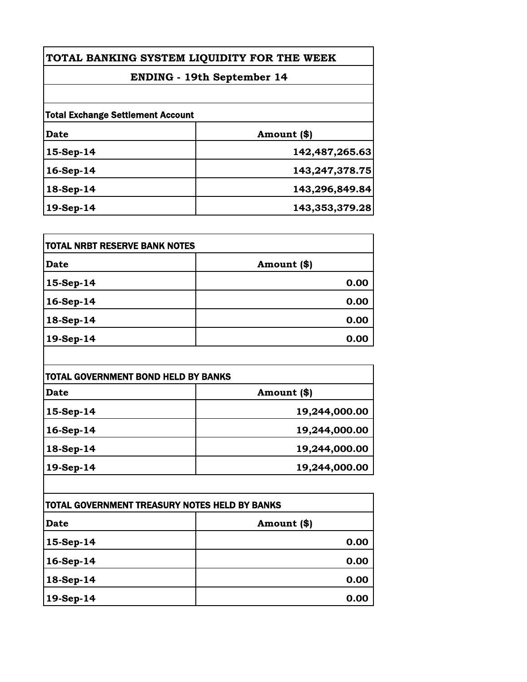| TOTAL BANKING SYSTEM LIQUIDITY FOR THE WEEK |                |
|---------------------------------------------|----------------|
| <b>ENDING - 19th September 14</b>           |                |
|                                             |                |
| Date                                        | Amount (\$)    |
| $15-Sep-14$                                 | 142,487,265.63 |
| $16-Sep-14$                                 | 143,247,378.75 |
| 18-Sep-14                                   | 143,296,849.84 |
| 19-Sep-14                                   | 143,353,379.28 |

| <b>TOTAL NRBT RESERVE BANK NOTES</b> |             |
|--------------------------------------|-------------|
| <b>Date</b>                          | Amount (\$) |
| $15-Sep-14$                          | 0.00        |
| 16-Sep-14                            | 0.00        |
| 18-Sep-14                            | 0.00        |
| 19-Sep-14                            | 0.00        |

| TOTAL GOVERNMENT BOND HELD BY BANKS |               |
|-------------------------------------|---------------|
| Date                                | Amount (\$)   |
| $15-Sep-14$                         | 19,244,000.00 |
| 16-Sep-14                           | 19,244,000.00 |
| 18-Sep-14                           | 19,244,000.00 |
| 19-Sep-14                           | 19,244,000.00 |

| ITOTAL GOVERNMENT TREASURY NOTES HELD BY BANKS |             |
|------------------------------------------------|-------------|
| Date                                           | Amount (\$) |
| $15-Sep-14$                                    | 0.00        |
| 16-Sep-14                                      | 0.00        |
| $18-Sep-14$                                    | 0.00        |
| $19-Sep-14$                                    | 0.00        |